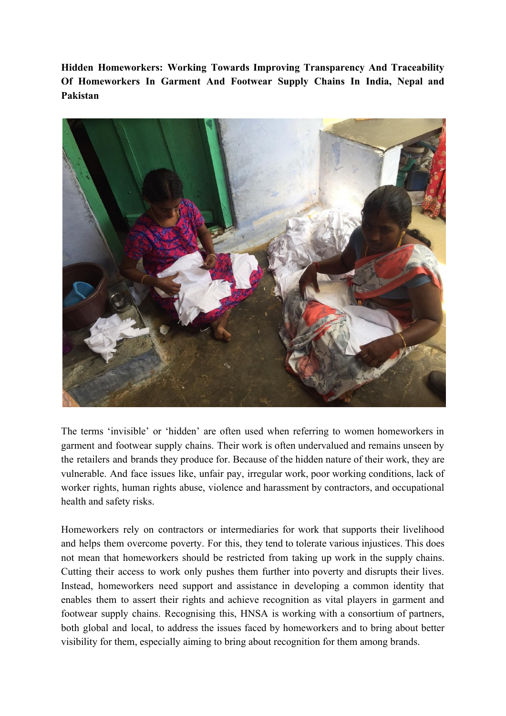**Hidden Homeworkers: Working Towards Improving Transparency And Traceability Of Homeworkers In Garment And Footwear Supply Chains In India, Nepal and Pakistan**



The terms 'invisible' or 'hidden' are often used when referring to women homeworkers in garment and footwear supply chains. Their work is often undervalued and remains unseen by the retailers and brands they produce for. Because of the hidden nature of their work, they are vulnerable. And face issues like, unfair pay, irregular work, poor working conditions, lack of worker rights, human rights abuse, violence and harassment by contractors, and occupational health and safety risks.

Homeworkers rely on contractors or intermediaries for work that supports their livelihood and helps them overcome poverty. For this, they tend to tolerate various injustices. This does not mean that homeworkers should be restricted from taking up work in the supply chains. Cutting their access to work only pushes them further into poverty and disrupts their lives. Instead, homeworkers need support and assistance in developing a common identity that enables them to assert their rights and achieve recognition as vital players in garment and footwear supply chains. Recognising this, HNSA is working with a consortium of partners, both global and local, to address the issues faced by homeworkers and to bring about better visibility for them, especially aiming to bring about recognition for them among brands.